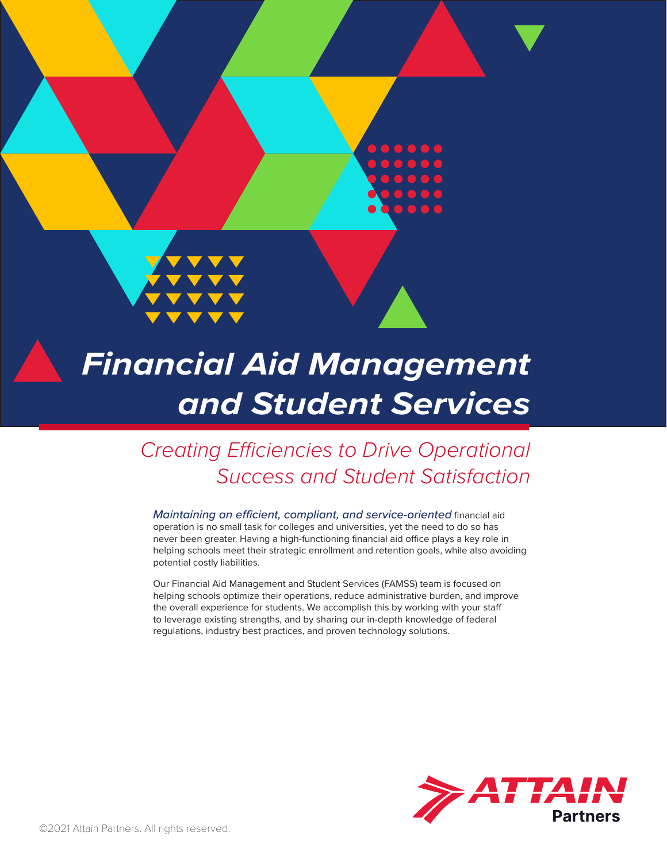

# *Financial Aid Management and Student Services*

*Creating Efficiencies to Drive Operational Success and Student Satisfaction*

*Maintaining an efficient, compliant, and service-oriented* financial aid operation is no small task for colleges and universities, yet the need to do so has never been greater. Having a high-functioning financial aid office plays a key role in helping schools meet their strategic enrollment and retention goals, while also avoiding potential costly liabilities.

Our Financial Aid Management and Student Services (FAMSS) team is focused on helping schools optimize their operations, reduce administrative burden, and improve the overall experience for students. We accomplish this by working with your staff to leverage existing strengths, and by sharing our in-depth knowledge of federal regulations, industry best practices, and proven technology solutions.

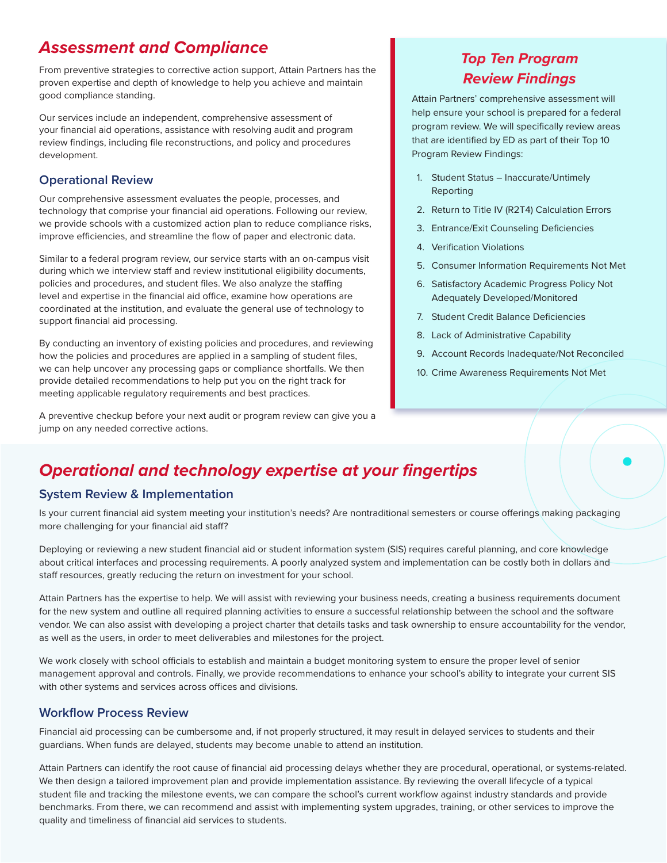## *Assessment and Compliance*

From preventive strategies to corrective action support, Attain Partners has the proven expertise and depth of knowledge to help you achieve and maintain good compliance standing.

Our services include an independent, comprehensive assessment of your financial aid operations, assistance with resolving audit and program review findings, including file reconstructions, and policy and procedures development.

### **Operational Review**

Our comprehensive assessment evaluates the people, processes, and technology that comprise your financial aid operations. Following our review, we provide schools with a customized action plan to reduce compliance risks, improve efficiencies, and streamline the flow of paper and electronic data.

Similar to a federal program review, our service starts with an on-campus visit during which we interview staff and review institutional eligibility documents, policies and procedures, and student files. We also analyze the staffing level and expertise in the financial aid office, examine how operations are coordinated at the institution, and evaluate the general use of technology to support financial aid processing.

By conducting an inventory of existing policies and procedures, and reviewing how the policies and procedures are applied in a sampling of student files, we can help uncover any processing gaps or compliance shortfalls. We then provide detailed recommendations to help put you on the right track for meeting applicable regulatory requirements and best practices.

A preventive checkup before your next audit or program review can give you a jump on any needed corrective actions.

# *Top Ten Program Review Findings*

Attain Partners' comprehensive assessment will help ensure your school is prepared for a federal program review. We will specifically review areas that are identified by ED as part of their Top 10 Program Review Findings:

- 1. Student Status Inaccurate/Untimely Reporting
- 2. Return to Title IV (R2T4) Calculation Errors
- 3. Entrance/Exit Counseling Deficiencies
- 4. Verification Violations
- 5. Consumer Information Requirements Not Met
- 6. Satisfactory Academic Progress Policy Not Adequately Developed/Monitored
- 7. Student Credit Balance Deficiencies
- 8. Lack of Administrative Capability
- 9. Account Records Inadequate/Not Reconciled
- 10. Crime Awareness Requirements Not Met

# *Operational and technology expertise at your fingertips*

### **System Review & Implementation**

Is your current financial aid system meeting your institution's needs? Are nontraditional semesters or course offerings making packaging more challenging for your financial aid staff?

Deploying or reviewing a new student financial aid or student information system (SIS) requires careful planning, and core knowledge about critical interfaces and processing requirements. A poorly analyzed system and implementation can be costly both in dollars and staff resources, greatly reducing the return on investment for your school.

Attain Partners has the expertise to help. We will assist with reviewing your business needs, creating a business requirements document for the new system and outline all required planning activities to ensure a successful relationship between the school and the software vendor. We can also assist with developing a project charter that details tasks and task ownership to ensure accountability for the vendor, as well as the users, in order to meet deliverables and milestones for the project.

We work closely with school officials to establish and maintain a budget monitoring system to ensure the proper level of senior management approval and controls. Finally, we provide recommendations to enhance your school's ability to integrate your current SIS with other systems and services across offices and divisions.

### **Workflow Process Review**

Financial aid processing can be cumbersome and, if not properly structured, it may result in delayed services to students and their guardians. When funds are delayed, students may become unable to attend an institution.

Attain Partners can identify the root cause of financial aid processing delays whether they are procedural, operational, or systems-related. We then design a tailored improvement plan and provide implementation assistance. By reviewing the overall lifecycle of a typical student file and tracking the milestone events, we can compare the school's current workflow against industry standards and provide benchmarks. From there, we can recommend and assist with implementing system upgrades, training, or other services to improve the quality and timeliness of financial aid services to students.